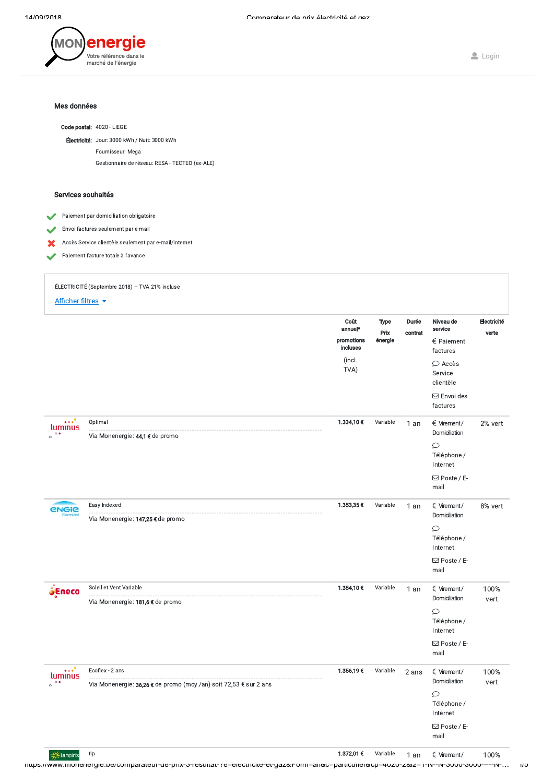## **MON** energie Votre référence dans le marché de l'énergie

## Mes données

# Code postal: 4020 - LIEGE

Électricité: Jour: 3000 kWh / Nuit: 3000 kWh

Fournisseur: Mega

Gestionnaire de réseau: RESA - TECTEO (ex-ALE)

# Services souhaités

- Paiement par domiciliation obligatoire
- Envoi factures seulement par e-mail
- Accès Service clientèle seulement par e-mail/internet  $\mathbf x$
- $\checkmark$ Paiement facture totale à l'avance

#### ÉLECTRICITÉ (Septembre 2018) - TVA 21% incluse

Afficher filtres

|                                             |                                                                   | Coût<br>annuel*        | Type<br>Prix | Durée<br>contrat | Niveau de<br>service                                            | Electricité<br>verte |
|---------------------------------------------|-------------------------------------------------------------------|------------------------|--------------|------------------|-----------------------------------------------------------------|----------------------|
|                                             |                                                                   | promotions<br>incluses | énergie      |                  | $\epsilon$ Paiement<br>factures                                 |                      |
|                                             |                                                                   | (incl.<br>TVA)         |              |                  | $\bigcirc$ Accès<br>Service<br>clientèle                        |                      |
|                                             |                                                                   |                        |              |                  | <b>⊠</b> Envoi des<br>factures                                  |                      |
| $\bullet \circ \bullet^\bullet$<br>luminus  | Optimal                                                           | 1.334,10€              | Variable     | 1 an             | $\in$ Virement/<br>Domiciliation                                | 2% vert              |
| $\circ \bullet$                             | Via Monenergie: 44,1 € de promo                                   |                        |              |                  | $\circlearrowright$<br>Téléphone /<br>Internet                  |                      |
|                                             |                                                                   |                        |              |                  | ⊠ Poste / E-<br>mail                                            |                      |
| engie<br><b>Stoctrabel</b>                  | Easy Indexed<br>Via Monenergie: 147,25 € de promo                 | 1.353,35€              | Variable     | 1 an             | $\in$ Virement/<br>Domiciliation                                | 8% vert              |
|                                             |                                                                   |                        |              |                  | $\circlearrowright$<br>Téléphone /<br>Internet                  |                      |
|                                             |                                                                   |                        |              |                  | ⊠ Poste / E-<br>mail                                            |                      |
| neco                                        | Soleil et Vent Variable                                           | 1.354,10€              | Variable     | 1 an             | $\in$ Virement/                                                 | 100%                 |
|                                             | Via Monenergie: 181,6 € de promo                                  |                        |              |                  | Domiciliation<br>$\circlearrowright$<br>Téléphone /<br>Internet | vert                 |
|                                             |                                                                   |                        |              |                  | $\boxdot$ Poste / E-<br>mail                                    |                      |
| $\cdots$<br>luminus<br>$\circ$ <sup>o</sup> | Ecoflex - 2 ans                                                   | 1.356,19€              | Variable     | 2 ans            | $\in$ Virement/                                                 | 100%                 |
|                                             | Via Monenergie: 36,26 € de promo (moy./an) soit 72,53 € sur 2 ans |                        |              |                  | Domiciliation<br>$\circlearrowright$<br>Téléphone /<br>Internet | vert                 |
|                                             |                                                                   |                        |              |                  | ⊠ Poste / E-<br>mail                                            |                      |

 $1/5$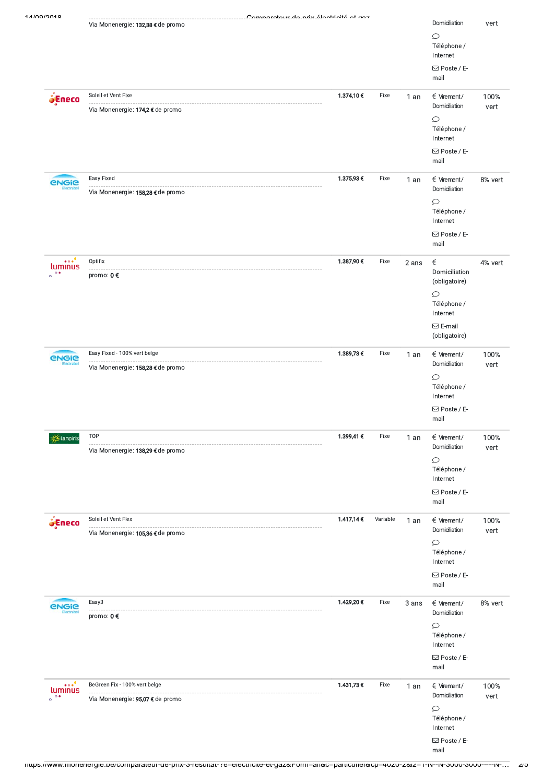| 11/00/2018                                                    | Comparatour de prix électricité et naz<br>----------------        |            |          |       |                                                                                                                                |              |
|---------------------------------------------------------------|-------------------------------------------------------------------|------------|----------|-------|--------------------------------------------------------------------------------------------------------------------------------|--------------|
|                                                               | Via Monenergie: 132,38 € de promo                                 |            |          |       | Domiciliation<br>$\circlearrowright$<br>Téléphone /<br>Internet<br>⊠ Poste / E-<br>mail                                        | vert         |
| <b>SEneco</b>                                                 | Soleil et Vent Fixe<br>Via Monenergie: 174,2 € de promo           | 1.374,10 € | Fixe     | 1 an  | $\in$ Virement/<br>Domiciliation<br>$\circlearrowright$<br>Téléphone /<br>Internet<br>⊠ Poste / E-<br>mail                     | 100%<br>vert |
| <b>CNGIC</b>                                                  | Easy Fixed<br>Via Monenergie: 158,28 € de promo                   | 1.375,93 € | Fixe     | 1 an  | $\in$ Virement/<br>Domiciliation<br>$\bigcirc$<br>Téléphone /<br>Internet<br>⊠ Poste / E-<br>mail                              | 8% vert      |
| $\bullet \circ \bullet^*$<br>luminus<br>$^{\circ}$<br>$\circ$ | Optifix<br>promo: 0 €                                             | 1.387,90 € | Fixe     | 2 ans | $\in$<br>Domiciliation<br>(obligatoire)<br>$\circlearrowright$<br>Téléphone /<br>Internet<br>$\boxdot$ E-mail<br>(obligatoire) | 4% vert      |
| <b><i><u>ENGIB</u></i></b><br>Electrabe                       | Easy Fixed - 100% vert belge<br>Via Monenergie: 158,28 € de promo | 1.389,73€  | Fixe     | 1 an  | $\in$ Virement/<br>Domiciliation<br>$\circlearrowright$<br>Téléphone /<br>Internet<br>⊠ Poste / E-<br>mail                     | 100%<br>vert |
| Lampiris                                                      | TOP<br>Via Monenergie: 138,29 € de promo                          | 1.399,41 € | Fixe     | 1 an  | $\in$ Virement/<br>Domiciliation<br>○<br>Téléphone /<br>Internet<br>⊠ Poste / E-<br>mail                                       | 100%<br>vert |
| <b>SEneco</b>                                                 | Soleil et Vent Flex<br>Via Monenergie: 105,36 € de promo          | 1.417,14 € | Variable | 1 an  | $\in$ Virement/<br>Domiciliation<br>$\bigcirc$<br>Téléphone /<br>Internet<br>⊠ Poste / E-<br>mail                              | 100%<br>vert |
| engie                                                         | Easy3<br>promo: $0 \in$                                           | 1.429,20 € | Fixe     | 3 ans | $\in$ Virement/<br>Domiciliation<br>$\bigcirc$<br>Téléphone /<br>Internet<br>⊠ Poste / E-<br>mail                              | 8% vert      |
| luminus<br>$\circ$                                            | BeGreen Fix - 100% vert belge<br>Via Monenergie: 95,07 € de promo | 1.431,73 € | Fixe     | 1 an  | $\in$ Virement/<br>Domiciliation<br>$\bigcirc$<br>Téléphone /<br>Internet<br>⊠ Poste / E-<br>mail                              | 100%<br>vert |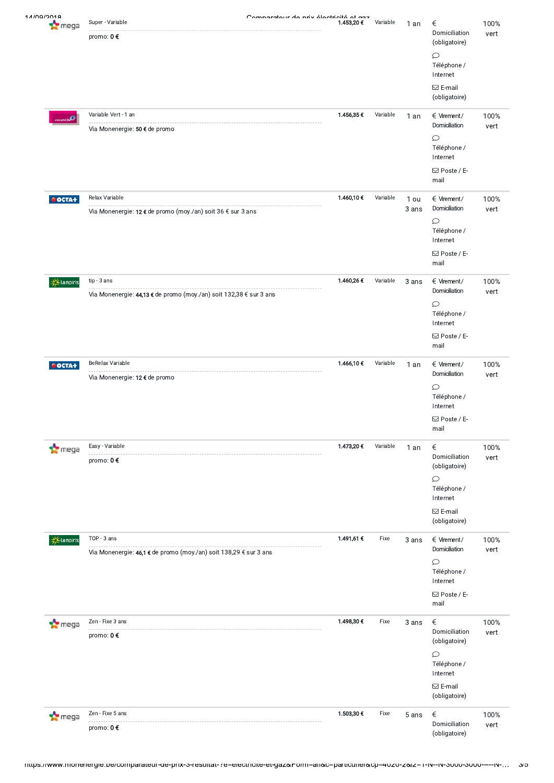|                   | Comparatour do priv óloctricitó at naz<br>Super - Variable<br>promo: $0 \in$      | 1.453,20 € | Variable | 1 an          | €<br>Domiciliation<br>(obligatoire)                                    | 100%<br>vert |
|-------------------|-----------------------------------------------------------------------------------|------------|----------|---------------|------------------------------------------------------------------------|--------------|
|                   |                                                                                   |            |          |               | $\circlearrowright$<br>Téléphone /<br>Internet<br>$\boxdot$ E-mail     |              |
|                   |                                                                                   |            |          |               | (obligatoire)                                                          |              |
|                   | Variable Vert - 1 an<br>Via Monenergie: 50 € de promo                             | 1.456,35€  | Variable | 1 an          | $\in$ Virement/<br>Domiciliation<br>$\circlearrowright$<br>Téléphone / | 100%<br>vert |
|                   |                                                                                   |            |          |               | Internet<br>⊠ Poste / E-<br>mail                                       |              |
| $•$ OCTA+         | Relax Variable<br>Via Monenergie: 12 € de promo (moy./an) soit 36 € sur 3 ans     | 1.460,10 € | Variable | 1 ou<br>3 ans | $\in$ Virement/<br>Domiciliation                                       | 100%<br>vert |
|                   |                                                                                   |            |          |               | $\circlearrowright$<br>Téléphone /<br>Internet                         |              |
|                   |                                                                                   |            |          |               | $\boxdot$ Poste / E-<br>mail                                           |              |
| <b>X</b> Lampiris | tip - 3 ans<br>Via Monenergie: 44,13 € de promo (moy./an) soit 132,38 € sur 3 ans | 1.460,26€  | Variable | 3 ans         | $\in$ Virement/<br>Domiciliation<br>$\circlearrowright$                | 100%<br>vert |
|                   |                                                                                   |            |          |               | Téléphone /<br>Internet                                                |              |
|                   |                                                                                   |            |          |               | $\boxdot$ Poste / E-<br>mail                                           |              |
| $OCTA+$           | BeRelax Variable<br>Via Monenergie: 12 € de promo                                 | 1.466,10 € | Variable | 1 an          | $\in$ Virement/<br>Domiciliation                                       | 100%<br>vert |
|                   |                                                                                   |            |          |               | $\circlearrowright$<br>Téléphone /<br>Internet                         |              |
|                   |                                                                                   |            |          |               | ⊠ Poste / E-<br>mail                                                   |              |
| mega              | Easy - Variable                                                                   | 1.473,20 € | Variable | 1 an          | €<br>Domiciliation                                                     | 100%         |
|                   | promo: $0 \in$                                                                    |            |          |               | (obligatoire)<br>$\circlearrowright$                                   | vert         |
|                   |                                                                                   |            |          |               | Téléphone /<br>Internet<br>$\boxdot$ E-mail                            |              |
|                   |                                                                                   |            |          |               | (obligatoire)                                                          |              |
| <b>美Lampiris</b>  | TOP - 3 ans<br>Via Monenergie: 46,1 € de promo (moy./an) soit 138,29 € sur 3 ans  | 1.491,61 € | Fixe     | 3 ans         | $\in$ Virement/<br>Domiciliation<br>$\circ$                            | 100%<br>vert |
|                   |                                                                                   |            |          |               | Téléphone /<br>Internet                                                |              |
|                   |                                                                                   |            |          |               | $\boxdot$ Poste / E-<br>mail                                           |              |
| $\bullet$ mega    | Zen - Fixe 3 ans<br>promo: $0 \in$                                                | 1.498,30 € | Fixe     | $3$ ans       | €<br>Domiciliation<br>(obligatoire)                                    | 100%<br>vert |
|                   |                                                                                   |            |          |               | $\circlearrowright$<br>Téléphone /<br>Internet                         |              |
|                   |                                                                                   |            |          |               | $\boxdot$ E-mail<br>(obligatoire)                                      |              |
|                   | Zen - Fixe 5 ans                                                                  | 1.503,30 € | Fixe     | 5 ans         | €                                                                      | 100%         |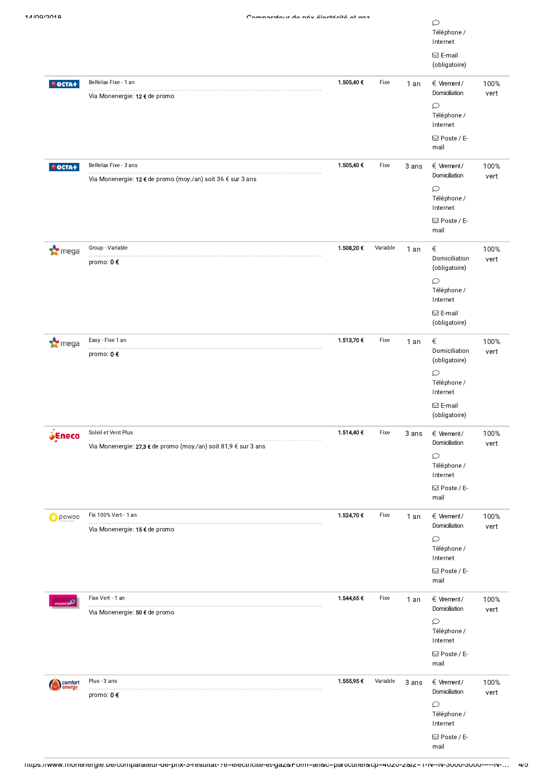|  | 11/09/2018 |  |  |
|--|------------|--|--|
|  |            |  |  |

| <u>א 1טעינטטי</u> |                                                                                     | Comnarataur de nriv électricité et daz |          |         | $\circlearrowright$<br>Téléphone /<br>Internet<br>$\boxdot$ E-mail<br>(obligatoire)   |              |
|-------------------|-------------------------------------------------------------------------------------|----------------------------------------|----------|---------|---------------------------------------------------------------------------------------|--------------|
| $e$ OCTA+         | BeRelax Fixe - 1 an<br>Via Monenergie: 12 € de promo                                | 1.505,40 €                             | Fixe     | 1 an    | $\in$ Virement/<br>Domiciliation                                                      | 100%<br>vert |
|                   |                                                                                     |                                        |          |         | $\circlearrowright$<br>Téléphone /<br>Internet                                        |              |
|                   |                                                                                     |                                        |          |         | ⊠ Poste / E-<br>mail                                                                  |              |
| $• OCTA +$        | BeRelax Fixe - 3 ans<br>Via Monenergie: 12 € de promo (moy./an) soit 36 € sur 3 ans | 1.505,40 €                             | Fixe     | $3$ ans | $\in$ Virement/<br>Domiciliation<br>$\circlearrowright$<br>Téléphone /<br>Internet    | 100%<br>vert |
|                   |                                                                                     |                                        |          |         | ⊠ Poste / E-<br>mail                                                                  |              |
| <b>The mega</b>   | Group - Variable                                                                    | 1.508,20 €                             | Variable | 1 an    | €<br>Domiciliation                                                                    | 100%         |
|                   | promo: 0 €                                                                          |                                        |          |         | (obligatoire)<br>$\circlearrowright$<br>Téléphone /<br>Internet<br>$\boxdot$ E-mail   | vert         |
|                   | Easy - Fixe 1 an                                                                    | 1.513,70€                              | Fixe     |         | (obligatoire)                                                                         |              |
| <b>The mega</b>   | promo: 0 €                                                                          |                                        |          | 1 an    | €<br>Domiciliation<br>(obligatoire)<br>$\circlearrowright$<br>Téléphone /<br>Internet | 100%<br>vert |
|                   |                                                                                     |                                        |          |         | $\boxdot$ E-mail<br>(obligatoire)                                                     |              |
| <b>o</b> Eneco    | Soleil et Vent Plus                                                                 | 1.514,40 €                             | Fixe     | 3 ans   | $\in$ Virement /<br>Domiciliation                                                     | 100%<br>vert |
|                   | Via Monenergie: 27,3 € de promo (moy./an) soit 81,9 € sur 3 ans                     |                                        |          |         | $\circlearrowright$<br>Téléphone /<br>Internet                                        |              |
|                   |                                                                                     |                                        |          |         | ⊠ Poste / E-<br>mail                                                                  |              |
| poweo             | Fix 100% Vert - 1 an<br>.                                                           | 1.524,70 €                             | Fixe     | 1 an    | $\in$ Virement/                                                                       | 100%         |
|                   | Via Monenergie: 15 € de promo                                                       |                                        |          |         | Domiciliation<br>$\bigcirc$<br>Téléphone /<br>Internet                                | vert         |
|                   |                                                                                     |                                        |          |         | ⊠ Poste / E-<br>mail                                                                  |              |
| <b>Essent be</b>  | Fixe Vert - 1 an<br>Via Monenergie: 50 € de promo                                   | 1.544,65€                              | Fixe     | 1 an    | $\in$ Virement/<br>Domiciliation                                                      | 100%<br>vert |
|                   |                                                                                     |                                        |          |         | $\circlearrowright$<br>Téléphone /<br>Internet                                        |              |
|                   |                                                                                     |                                        |          |         | ⊠ Poste / E-<br>mail                                                                  |              |
| comfort<br>energy | Plus - 3 ans<br>promo: 0 €                                                          | 1.555,95€                              | Variable | 3 ans   | $\in$ Virement/<br>Domiciliation                                                      | 100%<br>vert |
|                   |                                                                                     |                                        |          |         | $\bigcirc$<br>Téléphone /<br>Internet                                                 |              |
|                   |                                                                                     |                                        |          |         | $\boxdot$ Poste / E-<br>mail                                                          |              |